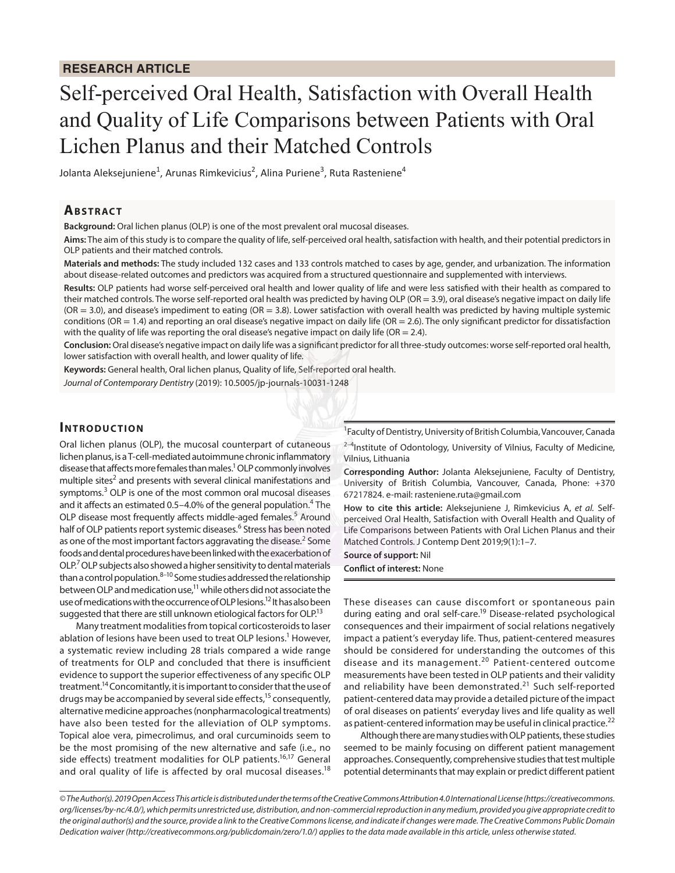# Self-perceived Oral Health, Satisfaction with Overall Health and Quality of Life Comparisons between Patients with Oral Lichen Planus and their Matched Controls

Jolanta Aleksejuniene<sup>1</sup>, Arunas Rimkevicius<sup>2</sup>, Alina Puriene<sup>3</sup>, Ruta Rasteniene<sup>4</sup>

## **ABSTRACT**

**Background:** Oral lichen planus (OLP) is one of the most prevalent oral mucosal diseases.

**Aims:** The aim of this study is to compare the quality of life, self-perceived oral health, satisfaction with health, and their potential predictors in OLP patients and their matched controls.

**Materials and methods:** The study included 132 cases and 133 controls matched to cases by age, gender, and urbanization. The information about disease-related outcomes and predictors was acquired from a structured questionnaire and supplemented with interviews.

**Results:** OLP patients had worse self-perceived oral health and lower quality of life and were less satisfied with their health as compared to their matched controls. The worse self-reported oral health was predicted by having OLP (OR = 3.9), oral disease's negative impact on daily life  $(OR = 3.0)$ , and disease's impediment to eating  $(OR = 3.8)$ . Lower satisfaction with overall health was predicted by having multiple systemic conditions (OR = 1.4) and reporting an oral disease's negative impact on daily life (OR = 2.6). The only significant predictor for dissatisfaction with the quality of life was reporting the oral disease's negative impact on daily life (OR = 2.4).

**Conclusion:** Oral disease's negative impact on daily life was a significant predictor for all three-study outcomes: worse self-reported oral health, lower satisfaction with overall health, and lower quality of life.

**Keywords:** General health, Oral lichen planus, Quality of life, Self-reported oral health.

*Journal of Contemporary Dentistry* (2019): 10.5005/jp-journals-10031-1248

## **INTRODUCTION**

Oral lichen planus (OLP), the mucosal counterpart of cutaneous lichen planus, is a T-cell-mediated autoimmune chronic inflammatory disease that affects more females than males.<sup>1</sup> OLP commonly involves multiple sites<sup>2</sup> and presents with several clinical manifestations and symptoms.<sup>3</sup> OLP is one of the most common oral mucosal diseases and it affects an estimated 0.5–4.0% of the general population.<sup>4</sup> The OLP disease most frequently affects middle-aged females.<sup>5</sup> Around half of OLP patients report systemic diseases.<sup>6</sup> Stress has been noted as one of the most important factors aggravating the disease.<sup>2</sup> Some foods and dental procedures have been linked with the exacerbation of OLP.<sup>7</sup> OLP subjects also showed a higher sensitivity to dental materials than a control population.8–10 Some studies addressed the relationship between OLP and medication use,11 while others did not associate the use of medications with the occurrence of OLP lesions.<sup>12</sup> It has also been suggested that there are still unknown etiological factors for OLP.<sup>13</sup>

Many treatment modalities from topical corticosteroids to laser ablation of lesions have been used to treat OLP lesions.<sup>1</sup> However, a systematic review including 28 trials compared a wide range of treatments for OLP and concluded that there is insufficient evidence to support the superior effectiveness of any specific OLP treatment.14 Concomitantly, it is important to consider that the use of drugs may be accompanied by several side effects,<sup>15</sup> consequently, alternative medicine approaches (nonpharmacological treatments) have also been tested for the alleviation of OLP symptoms. Topical aloe vera, pimecrolimus, and oral curcuminoids seem to be the most promising of the new alternative and safe (i.e., no side effects) treatment modalities for OLP patients.<sup>16,17</sup> General and oral quality of life is affected by oral mucosal diseases.<sup>18</sup>

<sup>1</sup> Faculty of Dentistry, University of British Columbia, Vancouver, Canada

 $2-4$ Institute of Odontology, University of Vilnius, Faculty of Medicine, Vilnius, Lithuania

**Corresponding Author:** Jolanta Aleksejuniene, Faculty of Dentistry, University of British Columbia, Vancouver, Canada, Phone: +370 67217824. e-mail: rasteniene.ruta@gmail.com

**How to cite this article:** Aleksejuniene J, Rimkevicius A, *et al.* Selfperceived Oral Health, Satisfaction with Overall Health and Quality of Life Comparisons between Patients with Oral Lichen Planus and their Matched Controls. J Contemp Dent 2019;9(1):1–7.

**Source of support:** Nil

**Conflict of interest:** None

These diseases can cause discomfort or spontaneous pain during eating and oral self-care.<sup>19</sup> Disease-related psychological consequences and their impairment of social relations negatively impact a patient's everyday life. Thus, patient-centered measures should be considered for understanding the outcomes of this disease and its management.20 Patient-centered outcome measurements have been tested in OLP patients and their validity and reliability have been demonstrated.<sup>21</sup> Such self-reported patient-centered data may provide a detailed picture of the impact of oral diseases on patients' everyday lives and life quality as well as patient-centered information may be useful in clinical practice.<sup>22</sup>

Although there are many studies with OLP patients, these studies seemed to be mainly focusing on different patient management approaches. Consequently, comprehensive studies that test multiple potential determinants that may explain or predict different patient

*<sup>©</sup> The Author(s). 2019 Open Access This article is distributed under the terms of the Creative Commons Attribution 4.0 International License (https://creativecommons. org/licenses/by-nc/4.0/), which permits unrestricted use, distribution, and non-commercial reproduction in any medium, provided you give appropriate credit to the original author(s) and the source, provide a link to the Creative Commons license, and indicate if changes were made. The Creative Commons Public Domain Dedication waiver (http://creativecommons.org/publicdomain/zero/1.0/) applies to the data made available in this article, unless otherwise stated.*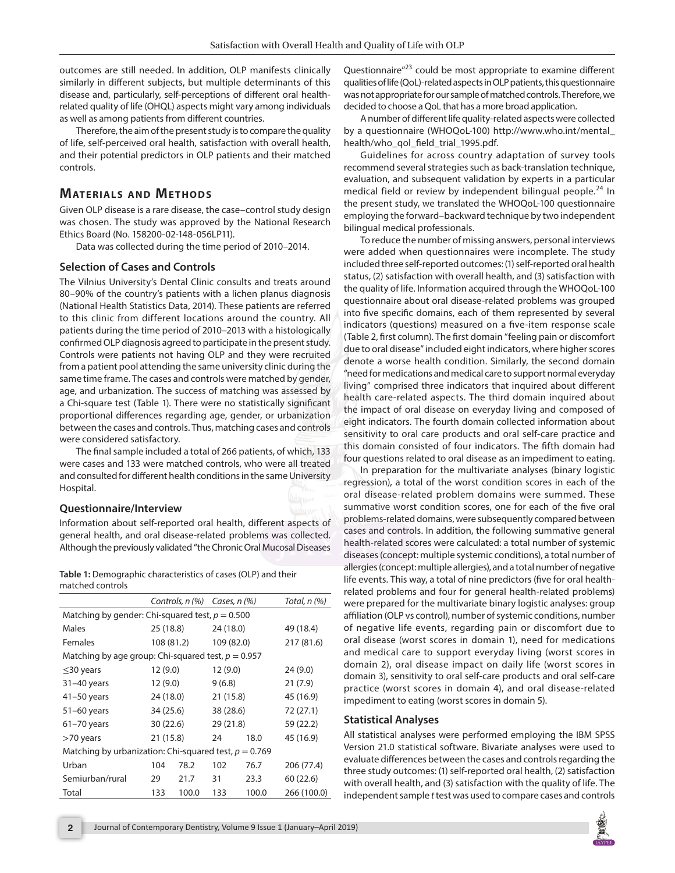outcomes are still needed. In addition, OLP manifests clinically similarly in different subjects, but multiple determinants of this disease and, particularly, self-perceptions of different oral healthrelated quality of life (OHQL) aspects might vary among individuals as well as among patients from different countries.

Therefore, the aim of the present study is to compare the quality of life, self-perceived oral health, satisfaction with overall health, and their potential predictors in OLP patients and their matched controls.

# **MATERIALS AND METHODS**

Given OLP disease is a rare disease, the case–control study design was chosen. The study was approved by the National Research Ethics Board (No. 158200-02-148-056LP11).

Data was collected during the time period of 2010–2014.

## **Selection of Cases and Controls**

The Vilnius University's Dental Clinic consults and treats around 80–90% of the country's patients with a lichen planus diagnosis (National Health Statistics Data, 2014). These patients are referred to this clinic from different locations around the country. All patients during the time period of 2010–2013 with a histologically confirmed OLP diagnosis agreed to participate in the present study. Controls were patients not having OLP and they were recruited from a patient pool attending the same university clinic during the same time frame. The cases and controls were matched by gender, age, and urbanization. The success of matching was assessed by a Chi-square test (Table 1). There were no statistically significant proportional differences regarding age, gender, or urbanization between the cases and controls. Thus, matching cases and controls were considered satisfactory.

The final sample included a total of 266 patients, of which, 133 were cases and 133 were matched controls, who were all treated and consulted for different health conditions in the same University Hospital.

## **Questionnaire/Interview**

Information about self-reported oral health, different aspects of general health, and oral disease-related problems was collected. Although the previously validated "the Chronic Oral Mucosal Diseases

**Table 1:** Demographic characteristics of cases (OLP) and their matched controls

|                                                         |            | Controls, n (%) | Cases, $n$ (%) |       | Total, n (%) |
|---------------------------------------------------------|------------|-----------------|----------------|-------|--------------|
| Matching by gender: Chi-squared test, $p = 0.500$       |            |                 |                |       |              |
| Males                                                   | 25 (18.8)  |                 | 24 (18.0)      |       | 49 (18.4)    |
| <b>Females</b>                                          | 108 (81.2) |                 | 109 (82.0)     |       | 217 (81.6)   |
| Matching by age group: Chi-squared test, $p = 0.957$    |            |                 |                |       |              |
| $\leq$ 30 years                                         | 12 (9.0)   |                 | 12(9.0)        |       | 24(9.0)      |
| 31-40 years                                             | 12(9.0)    |                 | 9(6.8)         |       | 21(7.9)      |
| $41-50$ years                                           | 24 (18.0)  |                 | 21(15.8)       |       | 45 (16.9)    |
| $51-60$ years                                           | 34 (25.6)  |                 | 38 (28.6)      |       | 72 (27.1)    |
| $61 - 70$ years                                         | 30(22.6)   |                 | 29 (21.8)      |       | 59 (22.2)    |
| $>70$ years                                             | 21 (15.8)  |                 | 24             | 18.0  | 45 (16.9)    |
| Matching by urbanization: Chi-squared test, $p = 0.769$ |            |                 |                |       |              |
| Urban                                                   | 104        | 78.2            | 102            | 76.7  | 206 (77.4)   |
| Semiurban/rural                                         | 29         | 21.7            | 31             | 23.3  | 60(22.6)     |
| Total                                                   | 133        | 100.0           | 133            | 100.0 | 266 (100.0)  |

Questionnaire<sup>"23</sup> could be most appropriate to examine different qualities of life (QoL)-related aspects in OLP patients, this questionnaire was not appropriate for our sample of matched controls. Therefore, we decided to choose a QoL that has a more broad application.

A number of different life quality-related aspects were collected by a questionnaire (WHOQoL-100) http://www.who.int/mental\_ health/who\_qol\_field\_trial\_1995.pdf.

Guidelines for across country adaptation of survey tools recommend several strategies such as back-translation technique, evaluation, and subsequent validation by experts in a particular medical field or review by independent bilingual people.<sup>24</sup> In the present study, we translated the WHOQoL-100 questionnaire employing the forward–backward technique by two independent bilingual medical professionals.

To reduce the number of missing answers, personal interviews were added when questionnaires were incomplete. The study included three self-reported outcomes: (1) self-reported oral health status, (2) satisfaction with overall health, and (3) satisfaction with the quality of life. Information acquired through the WHOQoL-100 questionnaire about oral disease-related problems was grouped into five specific domains, each of them represented by several indicators (questions) measured on a five-item response scale (Table 2, first column). The first domain "feeling pain or discomfort due to oral disease" included eight indicators, where higher scores denote a worse health condition. Similarly, the second domain "need for medications and medical care to support normal everyday living" comprised three indicators that inquired about different health care-related aspects. The third domain inquired about the impact of oral disease on everyday living and composed of eight indicators. The fourth domain collected information about sensitivity to oral care products and oral self-care practice and this domain consisted of four indicators. The fifth domain had four questions related to oral disease as an impediment to eating.

In preparation for the multivariate analyses (binary logistic regression), a total of the worst condition scores in each of the oral disease-related problem domains were summed. These summative worst condition scores, one for each of the five oral problems-related domains, were subsequently compared between cases and controls. In addition, the following summative general health-related scores were calculated: a total number of systemic diseases (concept: multiple systemic conditions), a total number of allergies (concept: multiple allergies), and a total number of negative life events. This way, a total of nine predictors (five for oral healthrelated problems and four for general health-related problems) were prepared for the multivariate binary logistic analyses: group affiliation (OLP vs control), number of systemic conditions, number of negative life events, regarding pain or discomfort due to oral disease (worst scores in domain 1), need for medications and medical care to support everyday living (worst scores in domain 2), oral disease impact on daily life (worst scores in domain 3), sensitivity to oral self-care products and oral self-care practice (worst scores in domain 4), and oral disease-related impediment to eating (worst scores in domain 5).

## **Statistical Analyses**

All statistical analyses were performed employing the IBM SPSS Version 21.0 statistical software. Bivariate analyses were used to evaluate differences between the cases and controls regarding the three study outcomes: (1) self-reported oral health, (2) satisfaction with overall health, and (3) satisfaction with the quality of life. The independent sample *t* test was used to compare cases and controls

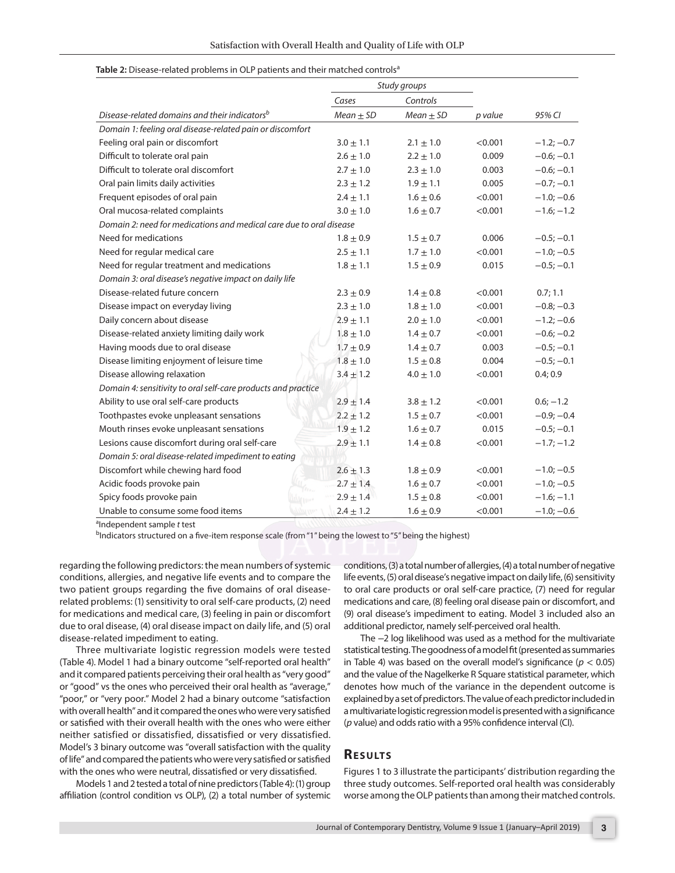#### Table 2: Disease-related problems in OLP patients and their matched controls<sup>a</sup>

|                                                                     |               | Study groups  |         |              |
|---------------------------------------------------------------------|---------------|---------------|---------|--------------|
|                                                                     | Cases         | Controls      |         |              |
| Disease-related domains and their indicators <sup>b</sup>           | $Mean \pm SD$ | $Mean \pm SD$ | p value | 95% CI       |
| Domain 1: feeling oral disease-related pain or discomfort           |               |               |         |              |
| Feeling oral pain or discomfort                                     | $3.0 \pm 1.1$ | $2.1 \pm 1.0$ | < 0.001 | $-1.2; -0.7$ |
| Difficult to tolerate oral pain                                     | $2.6 \pm 1.0$ | $2.2 \pm 1.0$ | 0.009   | $-0.6; -0.1$ |
| Difficult to tolerate oral discomfort                               | $2.7 \pm 1.0$ | $2.3 \pm 1.0$ | 0.003   | $-0.6; -0.1$ |
| Oral pain limits daily activities                                   | $2.3 \pm 1.2$ | $1.9 \pm 1.1$ | 0.005   | $-0.7; -0.1$ |
| Frequent episodes of oral pain                                      | $2.4 \pm 1.1$ | $1.6 \pm 0.6$ | < 0.001 | $-1.0; -0.6$ |
| Oral mucosa-related complaints                                      | $3.0 \pm 1.0$ | $1.6 \pm 0.7$ | < 0.001 | $-1.6; -1.2$ |
| Domain 2: need for medications and medical care due to oral disease |               |               |         |              |
| Need for medications                                                | $1.8 \pm 0.9$ | $1.5 \pm 0.7$ | 0.006   | $-0.5; -0.1$ |
| Need for regular medical care                                       | $2.5\pm1.1$   | $1.7 \pm 1.0$ | < 0.001 | $-1.0; -0.5$ |
| Need for regular treatment and medications                          | $1.8 \pm 1.1$ | $1.5 \pm 0.9$ | 0.015   | $-0.5; -0.1$ |
| Domain 3: oral disease's negative impact on daily life              |               |               |         |              |
| Disease-related future concern                                      | $2.3 \pm 0.9$ | $1.4 \pm 0.8$ | < 0.001 | 0.7; 1.1     |
| Disease impact on everyday living                                   | $2.3 \pm 1.0$ | $1.8 \pm 1.0$ | < 0.001 | $-0.8; -0.3$ |
| Daily concern about disease                                         | $2.9 \pm 1.1$ | $2.0 \pm 1.0$ | < 0.001 | $-1.2; -0.6$ |
| Disease-related anxiety limiting daily work                         | $1.8 \pm 1.0$ | $1.4 \pm 0.7$ | < 0.001 | $-0.6; -0.2$ |
| Having moods due to oral disease                                    | $1.7 \pm 0.9$ | $1.4 \pm 0.7$ | 0.003   | $-0.5; -0.1$ |
| Disease limiting enjoyment of leisure time                          | $1.8 \pm 1.0$ | $1.5 \pm 0.8$ | 0.004   | $-0.5; -0.1$ |
| Disease allowing relaxation                                         | $3.4 \pm 1.2$ | $4.0 \pm 1.0$ | < 0.001 | 0.4; 0.9     |
| Domain 4: sensitivity to oral self-care products and practice       |               |               |         |              |
| Ability to use oral self-care products                              | $2.9 \pm 1.4$ | $3.8 \pm 1.2$ | < 0.001 | $0.6; -1.2$  |
| Toothpastes evoke unpleasant sensations                             | $2.2 \pm 1.2$ | $1.5 \pm 0.7$ | < 0.001 | $-0.9; -0.4$ |
| Mouth rinses evoke unpleasant sensations                            | $1.9 \pm 1.2$ | $1.6 \pm 0.7$ | 0.015   | $-0.5; -0.1$ |
| Lesions cause discomfort during oral self-care                      | $2.9 \pm 1.1$ | $1.4 \pm 0.8$ | < 0.001 | $-1.7; -1.2$ |
| Domain 5: oral disease-related impediment to eating                 |               |               |         |              |
| Discomfort while chewing hard food                                  | $2.6 \pm 1.3$ | $1.8 \pm 0.9$ | < 0.001 | $-1.0; -0.5$ |
| Acidic foods provoke pain                                           | $2.7 \pm 1.4$ | $1.6 \pm 0.7$ | < 0.001 | $-1.0; -0.5$ |
| Spicy foods provoke pain                                            | $2.9 \pm 1.4$ | $1.5 \pm 0.8$ | < 0.001 | $-1.6; -1.1$ |
| Unable to consume some food items                                   | $2.4 \pm 1.2$ | $1.6 \pm 0.9$ | < 0.001 | $-1.0; -0.6$ |

a Independent sample *t* test

<sup>b</sup>Indicators structured on a five-item response scale (from "1" being the lowest to "5" being the highest)

regarding the following predictors: the mean numbers of systemic conditions, allergies, and negative life events and to compare the two patient groups regarding the five domains of oral diseaserelated problems: (1) sensitivity to oral self-care products, (2) need for medications and medical care, (3) feeling in pain or discomfort due to oral disease, (4) oral disease impact on daily life, and (5) oral disease-related impediment to eating.

Three multivariate logistic regression models were tested (Table 4). Model 1 had a binary outcome "self-reported oral health" and it compared patients perceiving their oral health as "very good" or "good" vs the ones who perceived their oral health as "average," "poor," or "very poor." Model 2 had a binary outcome "satisfaction with overall health" and it compared the ones who were very satisfied or satisfied with their overall health with the ones who were either neither satisfied or dissatisfied, dissatisfied or very dissatisfied. Model's 3 binary outcome was "overall satisfaction with the quality of life" and compared the patients who were very satisfied or satisfied with the ones who were neutral, dissatisfied or very dissatisfied.

Models 1 and 2 tested a total of nine predictors (Table 4): (1) group affiliation (control condition vs OLP), (2) a total number of systemic conditions, (3) a total number of allergies, (4) a total number of negative life events, (5) oral disease's negative impact on daily life, (6) sensitivity to oral care products or oral self-care practice, (7) need for regular medications and care, (8) feeling oral disease pain or discomfort, and (9) oral disease's impediment to eating. Model 3 included also an additional predictor, namely self-perceived oral health.

The −2 log likelihood was used as a method for the multivariate statistical testing. The goodness of a model fit (presented as summaries in Table 4) was based on the overall model's significance ( $p < 0.05$ ) and the value of the Nagelkerke R Square statistical parameter, which denotes how much of the variance in the dependent outcome is explained by a set of predictors. The value of each predictor included in a multivariate logistic regression model is presented with a significance (*p* value) and odds ratio with a 95% confidence interval (CI).

## **Re s u lts**

Figures 1 to 3 illustrate the participants' distribution regarding the three study outcomes. Self-reported oral health was considerably worse among the OLP patients than among their matched controls.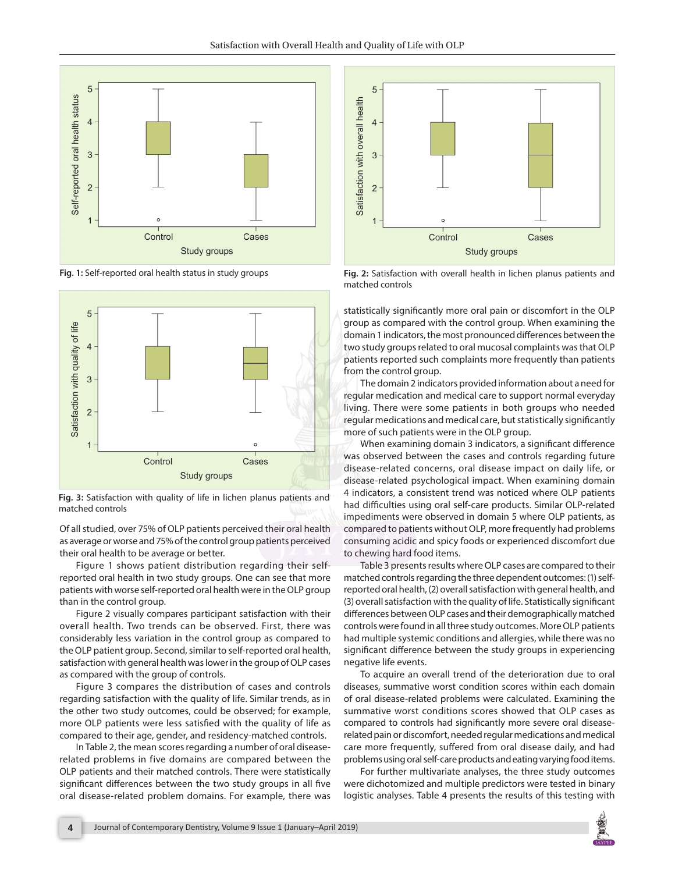



**Fig. 3:** Satisfaction with quality of life in lichen planus patients and matched controls

Of all studied, over 75% of OLP patients perceived their oral health as average or worse and 75% of the control group patients perceived their oral health to be average or better.

Figure 1 shows patient distribution regarding their selfreported oral health in two study groups. One can see that more patients with worse self-reported oral health were in the OLP group than in the control group.

Figure 2 visually compares participant satisfaction with their overall health. Two trends can be observed. First, there was considerably less variation in the control group as compared to the OLP patient group. Second, similar to self-reported oral health, satisfaction with general health was lower in the group of OLP cases as compared with the group of controls.

Figure 3 compares the distribution of cases and controls regarding satisfaction with the quality of life. Similar trends, as in the other two study outcomes, could be observed; for example, more OLP patients were less satisfied with the quality of life as compared to their age, gender, and residency-matched controls.

In Table 2, the mean scores regarding a number of oral diseaserelated problems in five domains are compared between the OLP patients and their matched controls. There were statistically significant differences between the two study groups in all five oral disease-related problem domains. For example, there was



**Fig. 1:** Self-reported oral health status in study groups **Fig. 2:** Satisfaction with overall health in lichen planus patients and matched controls

statistically significantly more oral pain or discomfort in the OLP group as compared with the control group. When examining the domain 1 indicators, the most pronounced differences between the two study groups related to oral mucosal complaints was that OLP patients reported such complaints more frequently than patients from the control group.

The domain 2 indicators provided information about a need for regular medication and medical care to support normal everyday living. There were some patients in both groups who needed regular medications and medical care, but statistically significantly more of such patients were in the OLP group.

When examining domain 3 indicators, a significant difference was observed between the cases and controls regarding future disease-related concerns, oral disease impact on daily life, or disease-related psychological impact. When examining domain 4 indicators, a consistent trend was noticed where OLP patients had difficulties using oral self-care products. Similar OLP-related impediments were observed in domain 5 where OLP patients, as compared to patients without OLP, more frequently had problems consuming acidic and spicy foods or experienced discomfort due to chewing hard food items.

Table 3 presents results where OLP cases are compared to their matched controls regarding the three dependent outcomes: (1) selfreported oral health, (2) overall satisfaction with general health, and (3) overall satisfaction with the quality of life. Statistically significant differences between OLP cases and their demographically matched controls were found in all three study outcomes. More OLP patients had multiple systemic conditions and allergies, while there was no significant difference between the study groups in experiencing negative life events.

To acquire an overall trend of the deterioration due to oral diseases, summative worst condition scores within each domain of oral disease-related problems were calculated. Examining the summative worst conditions scores showed that OLP cases as compared to controls had significantly more severe oral diseaserelated pain or discomfort, needed regular medications and medical care more frequently, suffered from oral disease daily, and had problems using oral self-care products and eating varying food items.

For further multivariate analyses, the three study outcomes were dichotomized and multiple predictors were tested in binary logistic analyses. Table 4 presents the results of this testing with

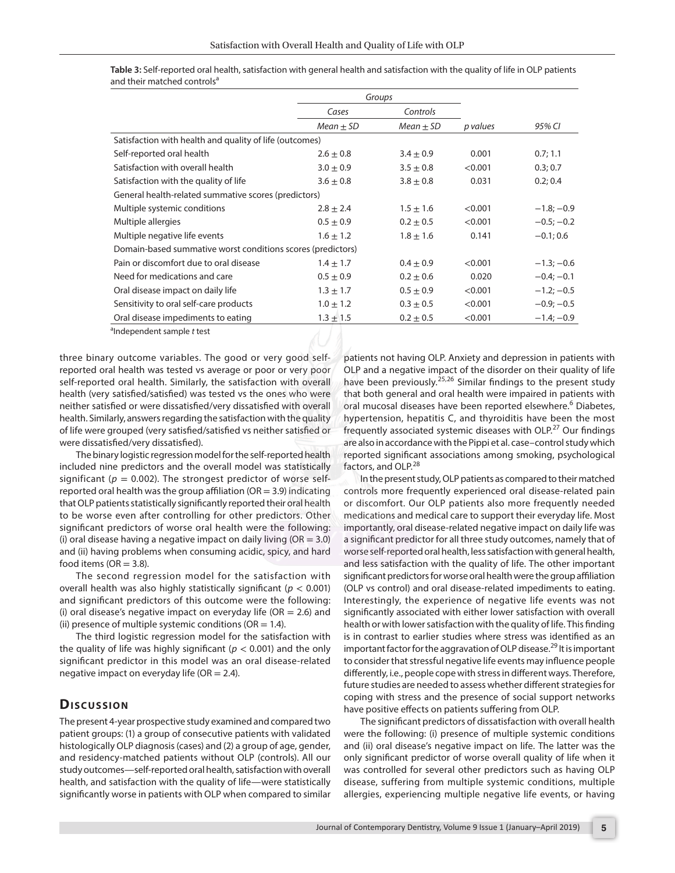|                                                             | Groups        |               |          |              |
|-------------------------------------------------------------|---------------|---------------|----------|--------------|
|                                                             | Cases         | Controls      |          |              |
|                                                             | $Mean \pm SD$ | $Mean \pm SD$ | p values | 95% CI       |
| Satisfaction with health and quality of life (outcomes)     |               |               |          |              |
| Self-reported oral health                                   | $2.6 \pm 0.8$ | $3.4 \pm 0.9$ | 0.001    | 0.7; 1.1     |
| Satisfaction with overall health                            | $3.0 \pm 0.9$ | $3.5 \pm 0.8$ | < 0.001  | 0.3; 0.7     |
| Satisfaction with the quality of life                       | $3.6 \pm 0.8$ | $3.8 \pm 0.8$ | 0.031    | 0.2; 0.4     |
| General health-related summative scores (predictors)        |               |               |          |              |
| Multiple systemic conditions                                | $2.8 \pm 2.4$ | $1.5 \pm 1.6$ | < 0.001  | $-1.8; -0.9$ |
| Multiple allergies                                          | $0.5 \pm 0.9$ | $0.2 \pm 0.5$ | < 0.001  | $-0.5; -0.2$ |
| Multiple negative life events                               | $1.6 \pm 1.2$ | $1.8 \pm 1.6$ | 0.141    | $-0.1; 0.6$  |
| Domain-based summative worst conditions scores (predictors) |               |               |          |              |
| Pain or discomfort due to oral disease                      | $1.4 \pm 1.7$ | $0.4 \pm 0.9$ | < 0.001  | $-1.3; -0.6$ |
| Need for medications and care                               | $0.5 \pm 0.9$ | $0.2 \pm 0.6$ | 0.020    | $-0.4; -0.1$ |
| Oral disease impact on daily life                           | $1.3 \pm 1.7$ | $0.5 \pm 0.9$ | < 0.001  | $-1.2; -0.5$ |
| Sensitivity to oral self-care products                      | $1.0 \pm 1.2$ | $0.3 \pm 0.5$ | < 0.001  | $-0.9; -0.5$ |
| Oral disease impediments to eating                          | $1.3 \pm 1.5$ | $0.2 \pm 0.5$ | < 0.001  | $-1.4; -0.9$ |
|                                                             |               |               |          |              |

**Table 3:** Self-reported oral health, satisfaction with general health and satisfaction with the quality of life in OLP patients and their matched controls<sup>a</sup>

a Independent sample *t* test

three binary outcome variables. The good or very good selfreported oral health was tested vs average or poor or very poor self-reported oral health. Similarly, the satisfaction with overall health (very satisfied/satisfied) was tested vs the ones who were neither satisfied or were dissatisfied/very dissatisfied with overall health. Similarly, answers regarding the satisfaction with the quality of life were grouped (very satisfied/satisfied vs neither satisfied or were dissatisfied/very dissatisfied).

The binary logistic regression model for the self-reported health included nine predictors and the overall model was statistically significant ( $p = 0.002$ ). The strongest predictor of worse selfreported oral health was the group affiliation ( $OR = 3.9$ ) indicating that OLP patients statistically significantly reported their oral health to be worse even after controlling for other predictors. Other significant predictors of worse oral health were the following: (i) oral disease having a negative impact on daily living ( $OR = 3.0$ ) and (ii) having problems when consuming acidic, spicy, and hard food items ( $OR = 3.8$ ).

The second regression model for the satisfaction with overall health was also highly statistically significant (*p* < 0.001) and significant predictors of this outcome were the following: (i) oral disease's negative impact on everyday life ( $OR = 2.6$ ) and (ii) presence of multiple systemic conditions ( $OR = 1.4$ ).

The third logistic regression model for the satisfaction with the quality of life was highly significant ( $p < 0.001$ ) and the only significant predictor in this model was an oral disease-related negative impact on everyday life ( $OR = 2.4$ ).

## **Dis c u s sio n**

The present 4-year prospective study examined and compared two patient groups: (1) a group of consecutive patients with validated histologically OLP diagnosis (cases) and (2) a group of age, gender, and residency-matched patients without OLP (controls). All our study outcomes—self-reported oral health, satisfaction with overall health, and satisfaction with the quality of life—were statistically significantly worse in patients with OLP when compared to similar

patients not having OLP. Anxiety and depression in patients with OLP and a negative impact of the disorder on their quality of life have been previously.<sup>25,26</sup> Similar findings to the present study that both general and oral health were impaired in patients with oral mucosal diseases have been reported elsewhere.<sup>6</sup> Diabetes, hypertension, hepatitis C, and thyroiditis have been the most frequently associated systemic diseases with OLP.<sup>27</sup> Our findings are also in accordance with the Pippi et al. case–control study which reported significant associations among smoking, psychological factors, and OLP.<sup>28</sup>

In the present study, OLP patients as compared to their matched controls more frequently experienced oral disease-related pain or discomfort. Our OLP patients also more frequently needed medications and medical care to support their everyday life. Most importantly, oral disease-related negative impact on daily life was a significant predictor for all three study outcomes, namely that of worse self-reported oral health, less satisfaction with general health, and less satisfaction with the quality of life. The other important significant predictors for worse oral health were the group affiliation (OLP vs control) and oral disease-related impediments to eating. Interestingly, the experience of negative life events was not significantly associated with either lower satisfaction with overall health or with lower satisfaction with the quality of life. This finding is in contrast to earlier studies where stress was identified as an important factor for the aggravation of OLP disease.<sup>29</sup> It is important to consider that stressful negative life events may influence people differently, i.e., people cope with stress in different ways. Therefore, future studies are needed to assess whether different strategies for coping with stress and the presence of social support networks have positive effects on patients suffering from OLP.

The significant predictors of dissatisfaction with overall health were the following: (i) presence of multiple systemic conditions and (ii) oral disease's negative impact on life. The latter was the only significant predictor of worse overall quality of life when it was controlled for several other predictors such as having OLP disease, suffering from multiple systemic conditions, multiple allergies, experiencing multiple negative life events, or having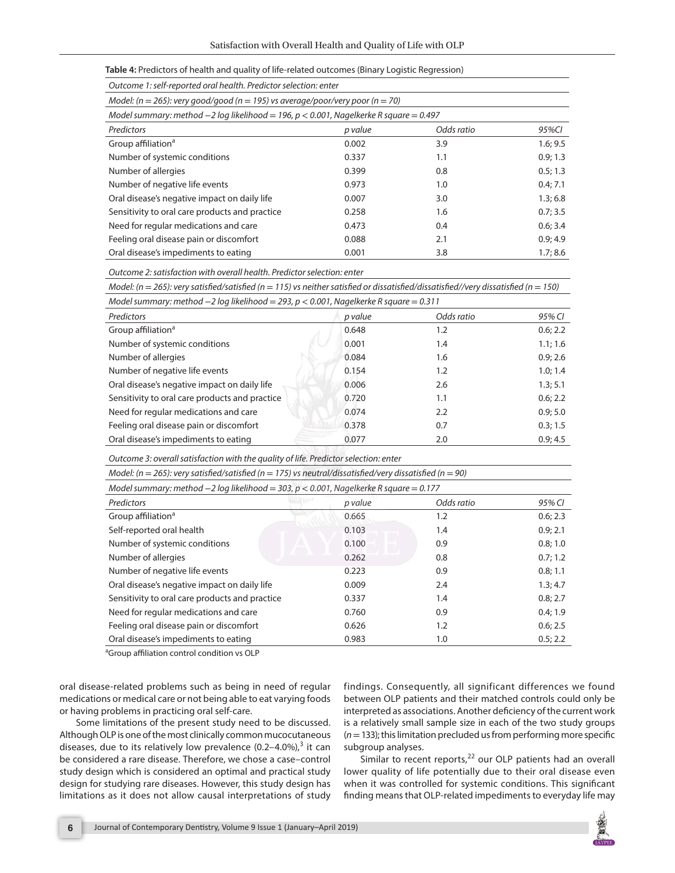|  | Table 4: Predictors of health and quality of life-related outcomes (Binary Logistic Regression) |  |
|--|-------------------------------------------------------------------------------------------------|--|
|--|-------------------------------------------------------------------------------------------------|--|

| Model: ( $n = 265$ ): very good/good ( $n = 195$ ) vs average/poor/very poor ( $n = 70$ )  |         |            |          |
|--------------------------------------------------------------------------------------------|---------|------------|----------|
| Model summary: method $-2$ log likelihood = 196, $p < 0.001$ , Nagelkerke R square = 0.497 |         |            |          |
| Predictors                                                                                 | p value | Odds ratio | 95%CI    |
| Group affiliation <sup>a</sup>                                                             | 0.002   | 3.9        | 1.6; 9.5 |
| Number of systemic conditions                                                              | 0.337   | 1.1        | 0.9; 1.3 |
| Number of allergies                                                                        | 0.399   | 0.8        | 0.5; 1.3 |
| Number of negative life events                                                             | 0.973   | 1.0        | 0.4; 7.1 |
| Oral disease's negative impact on daily life                                               | 0.007   | 3.0        | 1.3; 6.8 |
| Sensitivity to oral care products and practice                                             | 0.258   | 1.6        | 0.7; 3.5 |
| Need for regular medications and care                                                      | 0.473   | 0.4        | 0.6; 3.4 |
| Feeling oral disease pain or discomfort                                                    | 0.088   | 2.1        | 0.9:4.9  |
| Oral disease's impediments to eating                                                       | 0.001   | 3.8        | 1.7; 8.6 |

*Outcome 2: satisfaction with overall health. Predictor selection: enter*

*Model: (n* = *265): very satisfied/satisfied (n* = *115) vs neither satisfied or dissatisfied/dissatisfied//very dissatisfied (n* = *150)*

| Model summary: method $-2$ log likelihood = 293, $p < 0.001$ , Nagelkerke R square = 0.311 |  |
|--------------------------------------------------------------------------------------------|--|
|--------------------------------------------------------------------------------------------|--|

| Predictors                                     | p value | Odds ratio | 95% CI   |
|------------------------------------------------|---------|------------|----------|
| Group affiliation <sup>a</sup>                 | 0.648   | 1.2        | 0.6; 2.2 |
| Number of systemic conditions                  | 0.001   | 1.4        | 1.1; 1.6 |
| Number of allergies                            | 0.084   | 1.6        | 0.9; 2.6 |
| Number of negative life events                 | 0.154   | 1.2        | 1.0; 1.4 |
| Oral disease's negative impact on daily life   | 0.006   | 2.6        | 1.3; 5.1 |
| Sensitivity to oral care products and practice | 0.720   | 1.1        | 0.6; 2.2 |
| Need for regular medications and care          | 0.074   | 2.2        | 0.9; 5.0 |
| Feeling oral disease pain or discomfort        | 0.378   | 0.7        | 0.3; 1.5 |
| Oral disease's impediments to eating           | 0.077   | 2.0        | 0.9:4.5  |

*Outcome 3: overall satisfaction with the quality of life. Predictor selection: enter*

| Model: ( $n = 265$ ): very satisfied/satisfied ( $n = 175$ ) vs neutral/dissatisfied/very dissatisfied ( $n = 90$ ) |         |            |          |  |
|---------------------------------------------------------------------------------------------------------------------|---------|------------|----------|--|
| Model summary: method $-2$ log likelihood = 303, $p < 0.001$ , Nagelkerke R square = 0.177                          |         |            |          |  |
| Predictors                                                                                                          | p value | Odds ratio | 95% CI   |  |
| Group affiliation <sup>a</sup>                                                                                      | 0.665   | 1.2        | 0.6; 2.3 |  |
| Self-reported oral health                                                                                           | 0.103   | 1.4        | 0.9; 2.1 |  |
| Number of systemic conditions                                                                                       | 0.100   | 0.9        | 0.8; 1.0 |  |
| Number of allergies                                                                                                 | 0.262   | 0.8        | 0.7; 1.2 |  |
| Number of negative life events                                                                                      | 0.223   | 0.9        | 0.8; 1.1 |  |
| Oral disease's negative impact on daily life                                                                        | 0.009   | 2.4        | 1.3; 4.7 |  |
| Sensitivity to oral care products and practice                                                                      | 0.337   | 1.4        | 0.8; 2.7 |  |
| Need for regular medications and care                                                                               | 0.760   | 0.9        | 0.4; 1.9 |  |
| Feeling oral disease pain or discomfort                                                                             | 0.626   | 1.2        | 0.6; 2.5 |  |
| Oral disease's impediments to eating                                                                                | 0.983   | 1.0        | 0.5; 2.2 |  |

<sup>a</sup> Group affiliation control condition vs OLP

oral disease-related problems such as being in need of regular medications or medical care or not being able to eat varying foods or having problems in practicing oral self-care.

Some limitations of the present study need to be discussed. Although OLP is one of the most clinically common mucocutaneous diseases, due to its relatively low prevalence  $(0.2-4.0\%)$ ,<sup>3</sup> it can be considered a rare disease. Therefore, we chose a case–control study design which is considered an optimal and practical study design for studying rare diseases. However, this study design has limitations as it does not allow causal interpretations of study findings. Consequently, all significant differences we found between OLP patients and their matched controls could only be interpreted as associations. Another deficiency of the current work is a relatively small sample size in each of the two study groups (*n*= 133); this limitation precluded us from performing more specific subgroup analyses.

Similar to recent reports, $22$  our OLP patients had an overall lower quality of life potentially due to their oral disease even when it was controlled for systemic conditions. This significant finding means that OLP-related impediments to everyday life may